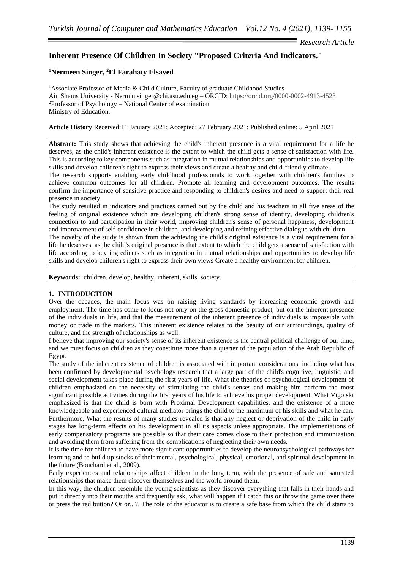*Research Article*

# **Inherent Presence Of Children In Society "Proposed Criteria And Indicators."**

## **<sup>1</sup>Nermeen Singer, <sup>2</sup>El Farahaty Elsayed**

<sup>1</sup>Associate Professor of Media & Child Culture, Faculty of graduate Childhood Studies Ain Shams University - Nermin.singer@chi.asu.edu.eg – ORCID: https://orcid.org/0000-0002-4913-4523 <sup>2</sup>Professor of Psychology – National Center of examination Ministry of Education.

**Article History**:Received:11 January 2021; Accepted: 27 February 2021; Published online: 5 April 2021

**Abstract:** This study shows that achieving the child's inherent presence is a vital requirement for a life he deserves, as the child's inherent existence is the extent to which the child gets a sense of satisfaction with life. This is according to key components such as integration in mutual relationships and opportunities to develop life skills and develop children's right to express their views and create a healthy and child-friendly climate.

The research supports enabling early childhood professionals to work together with children's families to achieve common outcomes for all children. Promote all learning and development outcomes. The results confirm the importance of sensitive practice and responding to children's desires and need to support their real presence in society.

The study resulted in indicators and practices carried out by the child and his teachers in all five areas of the feeling of original existence which are developing children's strong sense of identity, developing children's connection to and participation in their world, improving children's sense of personal happiness, development and improvement of self-confidence in children, and developing and refining effective dialogue with children.

The novelty of the study is shown from the achieving the child's original existence is a vital requirement for a life he deserves, as the child's original presence is that extent to which the child gets a sense of satisfaction with life according to key ingredients such as integration in mutual relationships and opportunities to develop life skills and develop children's right to express their own views Create a healthy environment for children.

**Keywords:** children, develop, healthy, inherent, skills, society.

## **1. INTRODUCTION**

Over the decades, the main focus was on raising living standards by increasing economic growth and employment. The time has come to focus not only on the gross domestic product, but on the inherent presence of the individuals in life, and that the measurement of the inherent presence of individuals is impossible with money or trade in the markets. This inherent existence relates to the beauty of our surroundings, quality of culture, and the strength of relationships as well.

I believe that improving our society's sense of its inherent existence is the central political challenge of our time, and we must focus on children as they constitute more than a quarter of the population of the Arab Republic of Egypt.

The study of the inherent existence of children is associated with important considerations, including what has been confirmed by developmental psychology research that a large part of the child's cognitive, linguistic, and social development takes place during the first years of life. What the theories of psychological development of children emphasized on the necessity of stimulating the child's senses and making him perform the most significant possible activities during the first years of his life to achieve his proper development. What Vigotski emphasized is that the child is born with Proximal Development capabilities, and the existence of a more knowledgeable and experienced cultural mediator brings the child to the maximum of his skills and what he can. Furthermore, What the results of many studies revealed is that any neglect or deprivation of the child in early stages has long-term effects on his development in all its aspects unless appropriate. The implementations of early compensatory programs are possible so that their care comes close to their protection and immunization and avoiding them from suffering from the complications of neglecting their own needs.

It is the time for children to have more significant opportunities to develop the neuropsychological pathways for learning and to build up stocks of their mental, psychological, physical, emotional, and spiritual development in the future (Bouchard et al., 2009).

Early experiences and relationships affect children in the long term, with the presence of safe and saturated relationships that make them discover themselves and the world around them.

In this way, the children resemble the young scientists as they discover everything that falls in their hands and put it directly into their mouths and frequently ask, what will happen if I catch this or throw the game over there or press the red button? Or or...?. The role of the educator is to create a safe base from which the child starts to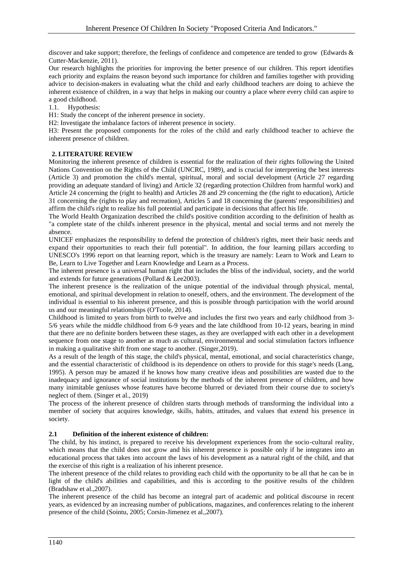discover and take support; therefore, the feelings of confidence and competence are tended to grow (Edwards & Cutter-Mackenzie, 2011).

Our research highlights the priorities for improving the better presence of our children. This report identifies each priority and explains the reason beyond such importance for children and families together with providing advice to decision-makers in evaluating what the child and early childhood teachers are doing to achieve the inherent existence of children, in a way that helps in making our country a place where every child can aspire to a good childhood.

1.1. Hypothesis:

H1: Study the concept of the inherent presence in society.

H2: Investigate the imbalance factors of inherent presence in society.

H3: Present the proposed components for the roles of the child and early childhood teacher to achieve the inherent presence of children.

## **2. LITERATURE REVIEW**

Monitoring the inherent presence of children is essential for the realization of their rights following the United Nations Convention on the Rights of the Child (UNCRC, 1989), and is crucial for interpreting the best interests (Article 3) and promotion the child's mental, spiritual, moral and social development (Article 27 regarding providing an adequate standard of living) and Article 32 (regarding protection Children from harmful work) and Article 24 concerning the (right to health) and Articles 28 and 29 concerning the (the right to education), Article 31 concerning the (rights to play and recreation), Articles 5 and 18 concerning the (parents' responsibilities) and affirm the child's right to realize his full potential and participate in decisions that affect his life.

The World Health Organization described the child's positive condition according to the definition of health as "a complete state of the child's inherent presence in the physical, mental and social terms and not merely the absence.

UNICEF emphasizes the responsibility to defend the protection of children's rights, meet their basic needs and expand their opportunities to reach their full potential". In addition, the four learning pillars according to UNESCO's 1996 report on that learning report, which is the treasury are namely: Learn to Work and Learn to Be, Learn to Live Together and Learn Knowledge and Learn as a Process.

The inherent presence is a universal human right that includes the bliss of the individual, society, and the world and extends for future generations (Pollard & Lee2003).

The inherent presence is the realization of the unique potential of the individual through physical, mental, emotional, and spiritual development in relation to oneself, others, and the environment. The development of the individual is essential to his inherent presence, and this is possible through participation with the world around us and our meaningful relationships (O'Toole, 2014).

Childhood is limited to years from birth to twelve and includes the first two years and early childhood from 3- 5/6 years while the middle childhood from 6-9 years and the late childhood from 10-12 years, bearing in mind that there are no definite borders between these stages, as they are overlapped with each other in a development sequence from one stage to another as much as cultural, environmental and social stimulation factors influence in making a qualitative shift from one stage to another. (Singer,2019).

As a result of the length of this stage, the child's physical, mental, emotional, and social characteristics change, and the essential characteristic of childhood is its dependence on others to provide for this stage's needs (Lang, 1995). A person may be amazed if he knows how many creative ideas and possibilities are wasted due to the inadequacy and ignorance of social institutions by the methods of the inherent presence of children, and how many inimitable geniuses whose features have become blurred or deviated from their course due to society's neglect of them. (Singer et al., 2019)

The process of the inherent presence of children starts through methods of transforming the individual into a member of society that acquires knowledge, skills, habits, attitudes, and values that extend his presence in society.

#### **2.1 Definition of the inherent existence of children:**

The child, by his instinct, is prepared to receive his development experiences from the socio-cultural reality, which means that the child does not grow and his inherent presence is possible only if he integrates into an educational process that takes into account the laws of his development as a natural right of the child, and that the exercise of this right is a realization of his inherent presence.

The inherent presence of the child relates to providing each child with the opportunity to be all that he can be in light of the child's abilities and capabilities, and this is according to the positive results of the children (Bradshaw et al.,2007).

The inherent presence of the child has become an integral part of academic and political discourse in recent years, as evidenced by an increasing number of publications, magazines, and conferences relating to the inherent presence of the child (Sointu, 2005; Corsin-Jimenez et al.,2007).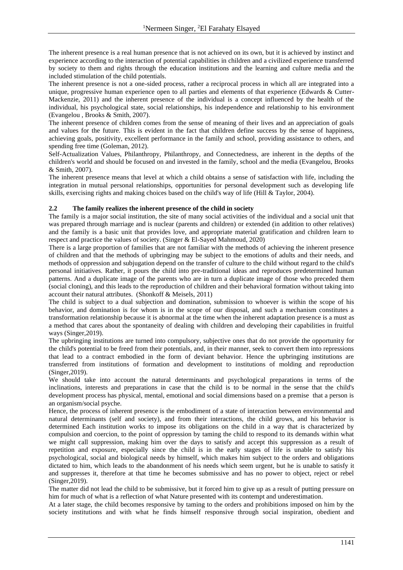The inherent presence is a real human presence that is not achieved on its own, but it is achieved by instinct and experience according to the interaction of potential capabilities in children and a civilized experience transferred by society to them and rights through the education institutions and the learning and culture media and the included stimulation of the child potentials.

The inherent presence is not a one-sided process, rather a reciprocal process in which all are integrated into a unique, progressive human experience open to all parties and elements of that experience (Edwards & Cutter-Mackenzie, 2011) and the inherent presence of the individual is a concept influenced by the health of the individual, his psychological state, social relationships, his independence and relationship to his environment (Evangelou , Brooks & Smith, 2007).

The inherent presence of children comes from the sense of meaning of their lives and an appreciation of goals and values for the future. This is evident in the fact that children define success by the sense of happiness, achieving goals, positivity, excellent performance in the family and school, providing assistance to others, and spending free time (Goleman, 2012).

Self-Actualization Values, Philanthropy, Philanthropy, and Connectedness, are inherent in the depths of the children's world and should be focused on and invested in the family, school and the media (Evangelou, Brooks & Smith, 2007).

The inherent presence means that level at which a child obtains a sense of satisfaction with life, including the integration in mutual personal relationships, opportunities for personal development such as developing life skills, exercising rights and making choices based on the child's way of life (Hill & Taylor, 2004).

## **2.2 The family realizes the inherent presence of the child in society**

The family is a major social institution, the site of many social activities of the individual and a social unit that was prepared through marriage and is nuclear (parents and children) or extended (in addition to other relatives) and the family is a basic unit that provides love, and appropriate material gratification and children learn to respect and practice the values of society. (Singer & El-Sayed Mahmoud, 2020)

There is a large proportion of families that are not familiar with the methods of achieving the inherent presence of children and that the methods of upbringing may be subject to the emotions of adults and their needs, and methods of oppression and subjugation depend on the transfer of culture to the child without regard to the child's personal initiatives. Rather, it pours the child into pre-traditional ideas and reproduces predetermined human patterns. And a duplicate image of the parents who are in turn a duplicate image of those who preceded them (social cloning), and this leads to the reproduction of children and their behavioral formation without taking into account their natural attributes. (Shonkoff & Meisels, 2011)

The child is subject to a dual subjection and domination, submission to whoever is within the scope of his behavior, and domination is for whom is in the scope of our disposal, and such a mechanism constitutes a transformation relationship because it is abnormal at the time when the inherent adaptation presence is a must as a method that cares about the spontaneity of dealing with children and developing their capabilities in fruitful ways (Singer,2019).

The upbringing institutions are turned into compulsory, subjective ones that do not provide the opportunity for the child's potential to be freed from their potentials, and, in their manner, seek to convert them into repressions that lead to a contract embodied in the form of deviant behavior. Hence the upbringing institutions are transferred from institutions of formation and development to institutions of molding and reproduction (Singer,2019).

We should take into account the natural determinants and psychological preparations in terms of the inclinations, interests and preparations in case that the child is to be normal in the sense that the child's development process has physical, mental, emotional and social dimensions based on a premise that a person is an organism/social psyche.

Hence, the process of inherent presence is the embodiment of a state of interaction between environmental and natural determinants (self and society), and from their interactions, the child grows, and his behavior is determined Each institution works to impose its obligations on the child in a way that is characterized by compulsion and coercion, to the point of oppression by taming the child to respond to its demands within what we might call suppression, making him over the days to satisfy and accept this suppression as a result of repetition and exposure, especially since the child is in the early stages of life is unable to satisfy his psychological, social and biological needs by himself, which makes him subject to the orders and obligations dictated to him, which leads to the abandonment of his needs which seem urgent, but he is unable to satisfy it and suppresses it, therefore at that time he becomes submissive and has no power to object, reject or rebel (Singer,2019).

The matter did not lead the child to be submissive, but it forced him to give up as a result of putting pressure on him for much of what is a reflection of what Nature presented with its contempt and underestimation.

At a later stage, the child becomes responsive by taming to the orders and prohibitions imposed on him by the society institutions and with what he finds himself responsive through social inspiration, obedient and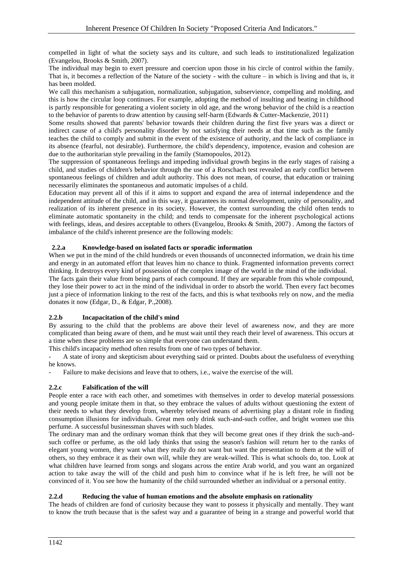compelled in light of what the society says and its culture, and such leads to institutionalized legalization (Evangelou, Brooks & Smith, 2007).

The individual may begin to exert pressure and coercion upon those in his circle of control within the family. That is, it becomes a reflection of the Nature of the society - with the culture – in which is living and that is, it has been molded.

We call this mechanism a subjugation, normalization, subjugation, subservience, compelling and molding, and this is how the circular loop continues. For example, adopting the method of insulting and beating in childhood is partly responsible for generating a violent society in old age, and the wrong behavior of the child is a reaction to the behavior of parents to draw attention by causing self-harm (Edwards & Cutter-Mackenzie, 2011)

Some results showed that parents' behavior towards their children during the first five years was a direct or indirect cause of a child's personality disorder by not satisfying their needs at that time such as the family teaches the child to comply and submit in the event of the existence of authority, and the lack of compliance in its absence (fearful, not desirable). Furthermore, the child's dependency, impotence, evasion and cohesion are due to the authoritarian style prevailing in the family (Stamopoulos, 2012).

The suppression of spontaneous feelings and impeding individual growth begins in the early stages of raising a child, and studies of children's behavior through the use of a Rorschach test revealed an early conflict between spontaneous feelings of children and adult authority. This does not mean, of course, that education or training necessarily eliminates the spontaneous and automatic impulses of a child.

Education may prevent all of this if it aims to support and expand the area of internal independence and the independent attitude of the child, and in this way, it guarantees its normal development, unity of personality, and realization of its inherent presence in its society. However, the context surrounding the child often tends to eliminate automatic spontaneity in the child; and tends to compensate for the inherent psychological actions with feelings, ideas, and desires acceptable to others (Evangelou, Brooks & Smith, 2007). Among the factors of imbalance of the child's inherent presence are the following models:

## **2.2.a Knowledge-based on isolated facts or sporadic information**

When we put in the mind of the child hundreds or even thousands of unconnected information, we drain his time and energy in an automated effort that leaves him no chance to think. Fragmented information prevents correct thinking. It destroys every kind of possession of the complex image of the world in the mind of the individual. The facts gain their value from being parts of each compound. If they are separable from this whole compound, they lose their power to act in the mind of the individual in order to absorb the world. Then every fact becomes just a piece of information linking to the rest of the facts, and this is what textbooks rely on now, and the media donates it now (Edgar, D., & Edgar, P.,2008).

## **2.2.b Incapacitation of the child's mind**

By assuring to the child that the problems are above their level of awareness now, and they are more complicated than being aware of them, and he must wait until they reach their level of awareness. This occurs at a time when these problems are so simple that everyone can understand them.

This child's incapacity method often results from one of two types of behavior.

A state of irony and skepticism about everything said or printed. Doubts about the usefulness of everything he knows.

Failure to make decisions and leave that to others, i.e., waive the exercise of the will.

## **2.2.c Falsification of the will**

People enter a race with each other, and sometimes with themselves in order to develop material possessions and young people imitate them in that, so they embrace the values of adults without questioning the extent of their needs to what they develop from, whereby televised means of advertising play a distant role in finding consumption illusions for individuals. Great men only drink such-and-such coffee, and bright women use this perfume. A successful businessman shaves with such blades.

The ordinary man and the ordinary woman think that they will become great ones if they drink the such-andsuch coffee or perfume, as the old lady thinks that using the season's fashion will return her to the ranks of elegant young women, they want what they really do not want but want the presentation to them at the will of others, so they embrace it as their own will, while they are weak-willed. This is what schools do, too. Look at what children have learned from songs and slogans across the entire Arab world, and you want an organized action to take away the will of the child and push him to convince what if he is left free, he will not be convinced of it. You see how the humanity of the child surrounded whether an individual or a personal entity.

## **2.2.d Reducing the value of human emotions and the absolute emphasis on rationality**

The heads of children are fond of curiosity because they want to possess it physically and mentally. They want to know the truth because that is the safest way and a guarantee of being in a strange and powerful world that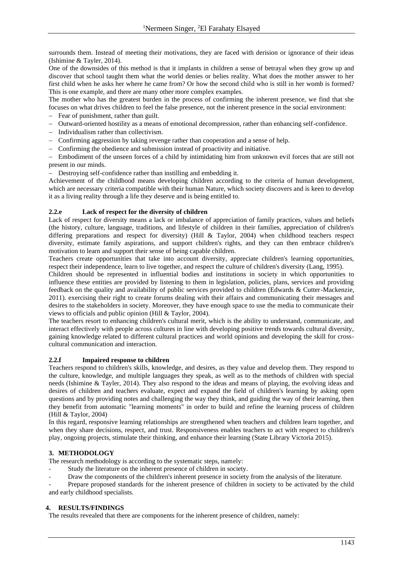surrounds them. Instead of meeting their motivations, they are faced with derision or ignorance of their ideas (Ishimine & Tayler, 2014).

One of the downsides of this method is that it implants in children a sense of betrayal when they grow up and discover that school taught them what the world denies or belies reality. What does the mother answer to her first child when he asks her where he came from? Or how the second child who is still in her womb is formed? This is one example, and there are many other more complex examples.

The mother who has the greatest burden in the process of confirming the inherent presence, we find that she focuses on what drives children to feel the false presence, not the inherent presence in the social environment:

- − Fear of punishment, rather than guilt.
- − Outward-oriented hostility as a means of emotional decompression, rather than enhancing self-confidence.
- Individualism rather than collectivism.
- − Confirming aggression by taking revenge rather than cooperation and a sense of help.
- − Confirming the obedience and submission instead of proactivity and initiative.

− Embodiment of the unseen forces of a child by intimidating him from unknown evil forces that are still not present in our minds.

− Destroying self-confidence rather than instilling and embedding it.

Achievement of the childhood means developing children according to the criteria of human development, which are necessary criteria compatible with their human Nature, which society discovers and is keen to develop it as a living reality through a life they deserve and is being entitled to.

## **2.2.e Lack of respect for the diversity of children**

Lack of respect for diversity means a lack or imbalance of appreciation of family practices, values and beliefs (the history, culture, language, traditions, and lifestyle of children in their families, appreciation of children's differing preparations and respect for diversity) (Hill & Taylor, 2004) when childhood teachers respect diversity, estimate family aspirations, and support children's rights, and they can then embrace children's motivation to learn and support their sense of being capable children.

Teachers create opportunities that take into account diversity, appreciate children's learning opportunities, respect their independence, learn to live together, and respect the culture of children's diversity (Lang, 1995).

Children should be represented in influential bodies and institutions in society in which opportunities to influence these entities are provided by listening to them in legislation, policies, plans, services and providing feedback on the quality and availability of public services provided to children (Edwards & Cutter-Mackenzie, 2011). exercising their right to create forums dealing with their affairs and communicating their messages and desires to the stakeholders in society. Moreover, they have enough space to use the media to communicate their views to officials and public opinion (Hill & Taylor, 2004).

The teachers resort to enhancing children's cultural merit, which is the ability to understand, communicate, and interact effectively with people across cultures in line with developing positive trends towards cultural diversity, gaining knowledge related to different cultural practices and world opinions and developing the skill for crosscultural communication and interaction.

#### **2.2.f Impaired response to children**

Teachers respond to children's skills, knowledge, and desires, as they value and develop them. They respond to the culture, knowledge, and multiple languages they speak, as well as to the methods of children with special needs (Ishimine & Tayler, 2014). They also respond to the ideas and means of playing, the evolving ideas and desires of children and teachers evaluate, expect and expand the field of children's learning by asking open questions and by providing notes and challenging the way they think, and guiding the way of their learning, then they benefit from automatic "learning moments" in order to build and refine the learning process of children (Hill & Taylor, 2004)

In this regard, responsive learning relationships are strengthened when teachers and children learn together, and when they share decisions, respect, and trust. Responsiveness enables teachers to act with respect to children's play, ongoing projects, stimulate their thinking, and enhance their learning (State Library Victoria 2015).

## **3. METHODOLOGY**

The research methodology is according to the systematic steps, namely:

- Study the literature on the inherent presence of children in society.
- Draw the components of the children's inherent presence in society from the analysis of the literature.

Prepare proposed standards for the inherent presence of children in society to be activated by the child and early childhood specialists.

### **4. RESULTS/FINDINGS**

The results revealed that there are components for the inherent presence of children, namely: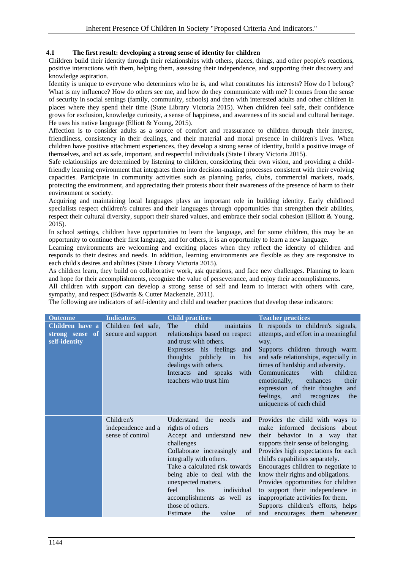## **4.1 The first result: developing a strong sense of identity for children**

Children build their identity through their relationships with others, places, things, and other people's reactions, positive interactions with them, helping them, assessing their independence, and supporting their discovery and knowledge aspiration.

Identity is unique to everyone who determines who he is, and what constitutes his interests? How do I belong? What is my influence? How do others see me, and how do they communicate with me? It comes from the sense of security in social settings (family, community, schools) and then with interested adults and other children in places where they spend their time (State Library Victoria 2015). When children feel safe, their confidence grows for exclusion, knowledge curiosity, a sense of happiness, and awareness of its social and cultural heritage. He uses his native language (Elliott & Young, 2015).

Affection is to consider adults as a source of comfort and reassurance to children through their interest, friendliness, consistency in their dealings, and their material and moral presence in children's lives. When children have positive attachment experiences, they develop a strong sense of identity, build a positive image of themselves, and act as safe, important, and respectful individuals (State Library Victoria 2015).

Safe relationships are determined by listening to children, considering their own vision, and providing a childfriendly learning environment that integrates them into decision-making processes consistent with their evolving capacities. Participate in community activities such as planning parks, clubs, commercial markets, roads, protecting the environment, and appreciating their protests about their awareness of the presence of harm to their environment or society.

Acquiring and maintaining local languages plays an important role in building identity. Early childhood specialists respect children's cultures and their languages through opportunities that strengthen their abilities, respect their cultural diversity, support their shared values, and embrace their social cohesion (Elliott & Young, 2015).

In school settings, children have opportunities to learn the language, and for some children, this may be an opportunity to continue their first language, and for others, it is an opportunity to learn a new language.

Learning environments are welcoming and exciting places when they reflect the identity of children and responds to their desires and needs. In addition, learning environments are flexible as they are responsive to each child's desires and abilities (State Library Victoria 2015).

As children learn, they build on collaborative work, ask questions, and face new challenges. Planning to learn and hope for their accomplishments, recognize the value of perseverance, and enjoy their accomplishments.

All children with support can develop a strong sense of self and learn to interact with others with care, sympathy, and respect (Edwards & Cutter Mackenzie, 2011).

The following are indicators of self-identity and child and teacher practices that develop these indicators:

| <b>Outcome</b>                                      | <b>Indicators</b>                                    | <b>Child practices</b>                                                                                                                                                                                                                                                                                                                                         | <b>Teacher practices</b>                                                                                                                                                                                                                                                                                                                                                                                                                                                              |
|-----------------------------------------------------|------------------------------------------------------|----------------------------------------------------------------------------------------------------------------------------------------------------------------------------------------------------------------------------------------------------------------------------------------------------------------------------------------------------------------|---------------------------------------------------------------------------------------------------------------------------------------------------------------------------------------------------------------------------------------------------------------------------------------------------------------------------------------------------------------------------------------------------------------------------------------------------------------------------------------|
| Children have a<br>strong sense of<br>self-identity | Children feel safe,<br>secure and support            | child<br>The<br>maintains<br>relationships based on respect<br>and trust with others.<br>Expresses his feelings<br>and<br>thoughts publicly in<br>his<br>dealings with others.<br>Interacts and speaks<br>with<br>teachers who trust him                                                                                                                       | It responds to children's signals,<br>attempts, and effort in a meaningful<br>way.<br>Supports children through warm<br>and safe relationships, especially in<br>times of hardship and adversity.<br>Communicates<br>with<br>children<br>emotionally,<br>enhances<br>their<br>expression of their thoughts and<br>feelings,<br>and<br>recognizes<br>the<br>uniqueness of each child                                                                                                   |
|                                                     | Children's<br>independence and a<br>sense of control | Understand the needs<br>and<br>rights of others<br>Accept and understand new<br>challenges<br>Collaborate increasingly and<br>integrally with others.<br>Take a calculated risk towards<br>being able to deal with the<br>unexpected matters.<br>his<br>individual<br>feel<br>accomplishments as well as<br>those of others.<br>Estimate<br>the<br>value<br>of | Provides the child with ways to<br>make informed decisions about<br>their behavior in a way that<br>supports their sense of belonging.<br>Provides high expectations for each<br>child's capabilities separately.<br>Encourages children to negotiate to<br>know their rights and obligations.<br>Provides opportunities for children<br>to support their independence in<br>inappropriate activities for them.<br>Supports children's efforts, helps<br>and encourages them whenever |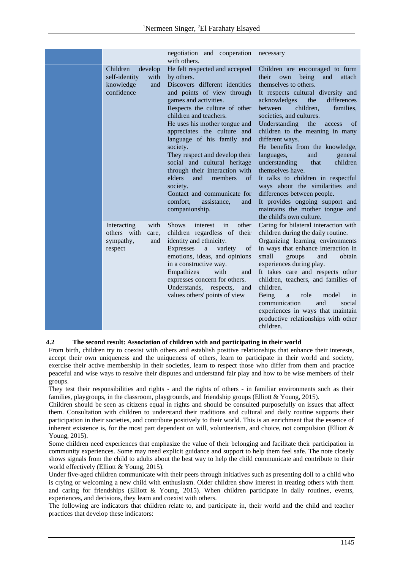|                                                                                | negotiation and cooperation<br>with others.                                                                                                                                                                                                                                                                                                                                                                                                                                                                                                     | necessary                                                                                                                                                                                                                                                                                                                                                                                                                                                                                                                                                                                                                                                                           |
|--------------------------------------------------------------------------------|-------------------------------------------------------------------------------------------------------------------------------------------------------------------------------------------------------------------------------------------------------------------------------------------------------------------------------------------------------------------------------------------------------------------------------------------------------------------------------------------------------------------------------------------------|-------------------------------------------------------------------------------------------------------------------------------------------------------------------------------------------------------------------------------------------------------------------------------------------------------------------------------------------------------------------------------------------------------------------------------------------------------------------------------------------------------------------------------------------------------------------------------------------------------------------------------------------------------------------------------------|
| Children<br>develop<br>self-identity<br>with<br>knowledge<br>and<br>confidence | He felt respected and accepted<br>by others.<br>Discovers different identities<br>and points of view through<br>games and activities.<br>Respects the culture of other<br>children and teachers.<br>He uses his mother tongue and<br>appreciates the culture and<br>language of his family and<br>society.<br>They respect and develop their<br>social and cultural heritage<br>through their interaction with<br>elders<br>and<br>members<br>of<br>society.<br>Contact and communicate for<br>comfort.<br>assistance,<br>and<br>companionship. | Children are encouraged to form<br>their<br>own<br>being<br>and<br>attach<br>themselves to others.<br>It respects cultural diversity and<br>acknowledges<br>the<br>differences<br>children.<br>between<br>families.<br>societies, and cultures.<br>Understanding<br>the<br>of<br>access<br>children to the meaning in many<br>different ways.<br>He benefits from the knowledge,<br>and<br>general<br>languages,<br>understanding<br>children<br>that<br>themselves have.<br>It talks to children in respectful<br>ways about the similarities and<br>differences between people.<br>It provides ongoing support and<br>maintains the mother tongue and<br>the child's own culture. |
| Interacting<br>with<br>others with<br>care,<br>sympathy,<br>and<br>respect     | other<br><b>Shows</b><br>interest<br>in<br>children regardless of their<br>identity and ethnicity.<br><b>Expresses</b><br>variety<br>of<br>a<br>emotions, ideas, and opinions<br>in a constructive way.<br>Empathizes<br>with<br>and<br>expresses concern for others.<br>Understands, respects,<br>and<br>values others' points of view                                                                                                                                                                                                         | Caring for bilateral interaction with<br>children during the daily routine.<br>Organizing learning environments<br>in ways that enhance interaction in<br>small<br>groups<br>and<br>obtain<br>experiences during play.<br>It takes care and respects other<br>children, teachers, and families of<br>children.<br>Being<br>role<br>a<br>model<br>1n<br>and<br>communication<br>social<br>experiences in ways that maintain<br>productive relationships with other<br>children.                                                                                                                                                                                                      |

## **4.2 The second result: Association of children with and participating in their world**

From birth, children try to coexist with others and establish positive relationships that enhance their interests, accept their own uniqueness and the uniqueness of others, learn to participate in their world and society, exercise their active membership in their societies, learn to respect those who differ from them and practice peaceful and wise ways to resolve their disputes and understand fair play and how to be wise members of their groups.

They test their responsibilities and rights - and the rights of others - in familiar environments such as their families, playgroups, in the classroom, playgrounds, and friendship groups (Elliott  $&$  Young, 2015).

Children should be seen as citizens equal in rights and should be consulted purposefully on issues that affect them. Consultation with children to understand their traditions and cultural and daily routine supports their participation in their societies, and contribute positively to their world. This is an enrichment that the essence of inherent existence is, for the most part dependent on will, volunteerism, and choice, not compulsion (Elliott  $\&$ Young, 2015).

Some children need experiences that emphasize the value of their belonging and facilitate their participation in community experiences. Some may need explicit guidance and support to help them feel safe. The note closely shows signals from the child to adults about the best way to help the child communicate and contribute to their world effectively (Elliott & Young, 2015).

Under five-aged children communicate with their peers through initiatives such as presenting doll to a child who is crying or welcoming a new child with enthusiasm. Older children show interest in treating others with them and caring for friendships (Elliott & Young, 2015). When children participate in daily routines, events, experiences, and decisions, they learn and coexist with others.

The following are indicators that children relate to, and participate in, their world and the child and teacher practices that develop these indicators: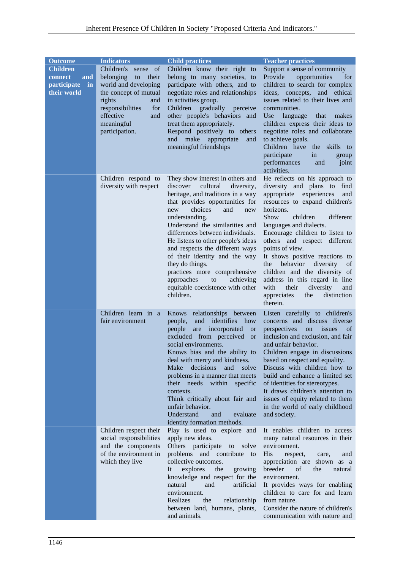| <b>Outcome</b>                                                        | <b>Indicators</b>                                                                                                                                                                                   | <b>Child practices</b>                                                                                                                                                                                                                                                                                                                                                                                                                                                                                                 | <b>Teacher practices</b>                                                                                                                                                                                                                                                                                                                                                                                                                                                                                                                |
|-----------------------------------------------------------------------|-----------------------------------------------------------------------------------------------------------------------------------------------------------------------------------------------------|------------------------------------------------------------------------------------------------------------------------------------------------------------------------------------------------------------------------------------------------------------------------------------------------------------------------------------------------------------------------------------------------------------------------------------------------------------------------------------------------------------------------|-----------------------------------------------------------------------------------------------------------------------------------------------------------------------------------------------------------------------------------------------------------------------------------------------------------------------------------------------------------------------------------------------------------------------------------------------------------------------------------------------------------------------------------------|
| <b>Children</b><br>connect<br>and<br>participate<br>in<br>their world | Children's<br>sense of<br>belonging<br>to<br>their<br>world and developing<br>the concept of mutual<br>rights<br>and<br>responsibilities<br>for<br>effective<br>and<br>meaningful<br>participation. | Children know their right to<br>belong to many societies, to<br>participate with others, and to<br>negotiate roles and relationships<br>in activities group.<br>Children<br>gradually<br>perceive<br>other people's behaviors<br>and<br>treat them appropriately.<br>Respond positively to others<br>and make<br>appropriate<br>and<br>meaningful friendships                                                                                                                                                          | Support a sense of community<br>Provide<br>opportunities<br>for<br>children to search for complex<br>ideas, concepts, and ethical<br>issues related to their lives and<br>communities.<br>U <sub>se</sub><br>language<br>that<br>makes<br>children express their ideas to<br>negotiate roles and collaborate<br>to achieve goals.<br>Children have<br>the skills<br>to<br>participate<br>in<br>group<br>performances<br>joint<br>and<br>activities.                                                                                     |
|                                                                       | Children respond to<br>diversity with respect                                                                                                                                                       | They show interest in others and<br>discover<br>cultural<br>diversity,<br>heritage, and traditions in a way<br>that provides opportunities for<br>choices<br>and<br>new<br>new<br>understanding.<br>Understand the similarities and<br>differences between individuals.<br>He listens to other people's ideas<br>and respects the different ways<br>of their identity and the way<br>they do things.<br>practices more comprehensive<br>approaches<br>achieving<br>to<br>equitable coexistence with other<br>children. | He reflects on his approach to<br>diversity and plans to<br>find<br>experiences<br>appropriate<br>and<br>resources to expand children's<br>horizons.<br>Show<br>children<br>different<br>languages and dialects.<br>Encourage children to listen to<br>others and respect different<br>points of view.<br>It shows positive reactions to<br>behavior<br>diversity<br>the<br>of<br>children and the diversity of<br>address in this regard in line<br>with<br>their<br>diversity<br>and<br>appreciates<br>the<br>distinction<br>therein. |
|                                                                       | Children learn in a<br>fair environment                                                                                                                                                             | Knows relationships between<br>and<br>identifies<br>how<br>people,<br>people<br>incorporated<br>are<br>or<br>excluded from perceived<br><sub>or</sub><br>social environments.<br>Knows bias and the ability to<br>deal with mercy and kindness.<br>decisions<br>Make<br>and<br>solve<br>problems in a manner that meets<br>their needs<br>within<br>specific<br>contexts.<br>Think critically about fair and<br>unfair behavior.<br>Understand<br>evaluate<br>and<br>identity formation methods.                       | Listen carefully to children's<br>concerns and discuss diverse<br>perspectives<br>on<br>issues<br>of<br>inclusion and exclusion, and fair<br>and unfair behavior.<br>Children engage in discussions<br>based on respect and equality.<br>Discuss with children how to<br>build and enhance a limited set<br>of identities for stereotypes.<br>It draws children's attention to<br>issues of equity related to them<br>in the world of early childhood<br>and society.                                                                   |
|                                                                       | Children respect their<br>social responsibilities<br>and the components<br>of the environment in<br>which they live                                                                                 | Play is used to explore and<br>apply new ideas.<br>Others participate<br>solve<br>to<br>problems and contribute<br>to<br>collective outcomes.<br>explores<br>the<br>growing<br>It<br>knowledge and respect for the<br>natural<br>artificial<br>and<br>environment.<br>Realizes<br>the<br>relationship<br>between land, humans, plants,<br>and animals.                                                                                                                                                                 | It enables children to access<br>many natural resources in their<br>environment.<br><b>His</b><br>respect,<br>and<br>care,<br>appreciation are shown as a<br>breeder<br>of<br>natural<br>the<br>environment.<br>It provides ways for enabling<br>children to care for and learn<br>from nature.<br>Consider the nature of children's<br>communication with nature and                                                                                                                                                                   |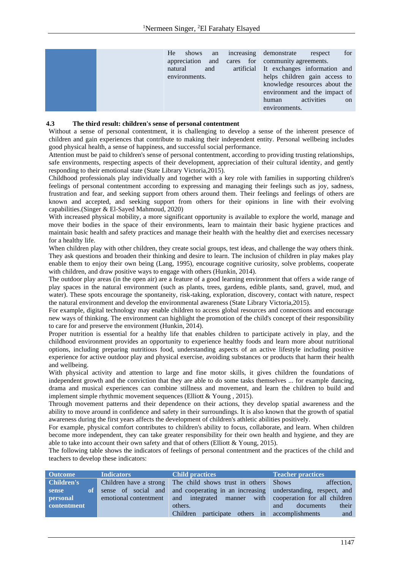|  | He<br>appreciation and cares for community agreements.<br>natural<br>and<br>environments. |  | shows an increasing demonstrate<br>artificial It exchanges information and<br>helps children gain access to<br>knowledge resources about the<br>environment and the impact of<br>human<br>environments. | respect<br>activities | for<br><sub>on</sub> |
|--|-------------------------------------------------------------------------------------------|--|---------------------------------------------------------------------------------------------------------------------------------------------------------------------------------------------------------|-----------------------|----------------------|
|--|-------------------------------------------------------------------------------------------|--|---------------------------------------------------------------------------------------------------------------------------------------------------------------------------------------------------------|-----------------------|----------------------|

#### **4.3 The third result: children's sense of personal contentment**

Without a sense of personal contentment, it is challenging to develop a sense of the inherent presence of children and gain experiences that contribute to making their independent entity. Personal wellbeing includes good physical health, a sense of happiness, and successful social performance.

Attention must be paid to children's sense of personal contentment, according to providing trusting relationships, safe environments, respecting aspects of their development, appreciation of their cultural identity, and gently responding to their emotional state (State Library Victoria,2015).

Childhood professionals play individually and together with a key role with families in supporting children's feelings of personal contentment according to expressing and managing their feelings such as joy, sadness, frustration and fear, and seeking support from others around them. Their feelings and feelings of others are known and accepted, and seeking support from others for their opinions in line with their evolving capabilities.(Singer & El-Sayed Mahmoud, 2020)

With increased physical mobility, a more significant opportunity is available to explore the world, manage and move their bodies in the space of their environments, learn to maintain their basic hygiene practices and maintain basic health and safety practices and manage their health with the healthy diet and exercises necessary for a healthy life.

When children play with other children, they create social groups, test ideas, and challenge the way others think. They ask questions and broaden their thinking and desire to learn. The inclusion of children in play makes play enable them to enjoy their own being (Lang, 1995), encourage cognitive curiosity, solve problems, cooperate with children, and draw positive ways to engage with others (Hunkin, 2014).

The outdoor play areas (in the open air) are a feature of a good learning environment that offers a wide range of play spaces in the natural environment (such as plants, trees, gardens, edible plants, sand, gravel, mud, and water). These spots encourage the spontaneity, risk-taking, exploration, discovery, contact with nature, respect the natural environment and develop the environmental awareness (State Library Victoria,2015).

For example, digital technology may enable children to access global resources and connections and encourage new ways of thinking. The environment can highlight the promotion of the child's concept of their responsibility to care for and preserve the environment (Hunkin, 2014).

Proper nutrition is essential for a healthy life that enables children to participate actively in play, and the childhood environment provides an opportunity to experience healthy foods and learn more about nutritional options, including preparing nutritious food, understanding aspects of an active lifestyle including positive experience for active outdoor play and physical exercise, avoiding substances or products that harm their health and wellbeing.

With physical activity and attention to large and fine motor skills, it gives children the foundations of independent growth and the conviction that they are able to do some tasks themselves ... for example dancing, drama and musical experiences can combine stillness and movement, and learn the children to build and implement simple rhythmic movement sequences (Elliott & Young , 2015).

Through movement patterns and their dependence on their actions, they develop spatial awareness and the ability to move around in confidence and safety in their surroundings. It is also known that the growth of spatial awareness during the first years affects the development of children's athletic abilities positively.

For example, physical comfort contributes to children's ability to focus, collaborate, and learn. When children become more independent, they can take greater responsibility for their own health and hygiene, and they are able to take into account their own safety and that of others (Elliott  $&$  Young, 2015).

The following table shows the indicators of feelings of personal contentment and the practices of the child and teachers to develop these indicators:

| <b>Outcome</b>     | <b>Indicators</b>      | <b>Child practices</b>               | Teacher practices            |
|--------------------|------------------------|--------------------------------------|------------------------------|
| <b>Children's</b>  | Children have a strong | The child shows trust in others      | <b>Shows</b><br>affection.   |
| ot<br>sense        | of social and<br>sense | and cooperating in an increasing     | understanding, respect, and  |
| <b>personal</b>    | emotional contentment  | and integrated manner with           | cooperation for all children |
| <b>contentment</b> |                        | others.                              | their<br>documents<br>and    |
|                    |                        | participate<br>others in<br>Children | accomplishments<br>and       |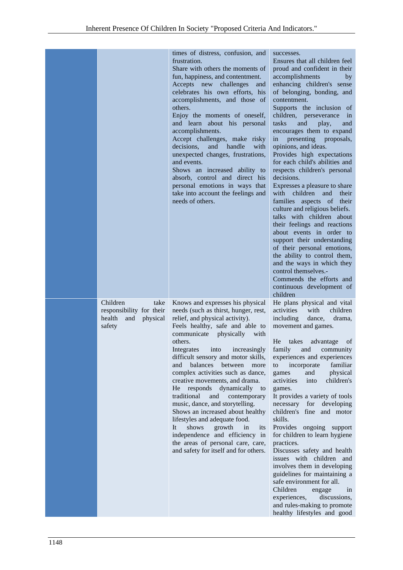|                                                                                     | times of distress, confusion, and<br>frustration.<br>Share with others the moments of<br>fun, happiness, and contentment.<br>Accepts new challenges<br>and<br>celebrates his own efforts, his<br>accomplishments, and those of<br>others.<br>Enjoy the moments of oneself,<br>and learn about his personal<br>accomplishments.<br>Accept challenges, make risky<br>decisions,<br>and handle<br>with<br>unexpected changes, frustrations,<br>and events.<br>Shows an increased ability to<br>absorb, control and direct his<br>personal emotions in ways that<br>take into account the feelings and<br>needs of others.                                                                                         | successes.<br>Ensures that all children feel<br>proud and confident in their<br>accomplishments<br>by<br>enhancing children's sense<br>of belonging, bonding, and<br>contentment.<br>Supports the inclusion of<br>children, perseverance<br>1n<br>tasks<br>and<br>play,<br>and<br>encourages them to expand<br>presenting proposals,<br>in<br>opinions, and ideas.<br>Provides high expectations<br>for each child's abilities and<br>respects children's personal<br>decisions.<br>Expresses a pleasure to share<br>children<br>with<br>and<br>their<br>families aspects of their<br>culture and religious beliefs.<br>talks with children about<br>their feelings and reactions<br>about events in order to<br>support their understanding<br>of their personal emotions,<br>the ability to control them,<br>and the ways in which they<br>control themselves.-<br>Commends the efforts and<br>continuous development of<br>children |
|-------------------------------------------------------------------------------------|----------------------------------------------------------------------------------------------------------------------------------------------------------------------------------------------------------------------------------------------------------------------------------------------------------------------------------------------------------------------------------------------------------------------------------------------------------------------------------------------------------------------------------------------------------------------------------------------------------------------------------------------------------------------------------------------------------------|----------------------------------------------------------------------------------------------------------------------------------------------------------------------------------------------------------------------------------------------------------------------------------------------------------------------------------------------------------------------------------------------------------------------------------------------------------------------------------------------------------------------------------------------------------------------------------------------------------------------------------------------------------------------------------------------------------------------------------------------------------------------------------------------------------------------------------------------------------------------------------------------------------------------------------------|
| Children<br>take<br>responsibility for their<br>health<br>physical<br>and<br>safety | Knows and expresses his physical<br>needs (such as thirst, hunger, rest,<br>relief, and physical activity).<br>Feels healthy, safe and able to<br>communicate physically with<br>others.<br>Integrates into increasingly<br>difficult sensory and motor skills,<br>balances between<br>and<br>more<br>complex activities such as dance,<br>creative movements, and drama.<br>He responds dynamically<br>to<br>traditional<br>and<br>contemporary<br>music, dance, and storytelling.<br>Shows an increased about healthy<br>lifestyles and adequate food.<br>shows<br>It<br>growth<br>in<br>its<br>independence and efficiency in<br>the areas of personal care, care,<br>and safety for itself and for others. | He plans physical and vital<br>activities<br>with<br>children<br>including<br>dance,<br>drama,<br>movement and games.<br>He takes advantage of<br>family and community<br>experiences and experiences<br>to<br>incorporate<br>familiar<br>and<br>physical<br>games<br>activities<br>children's<br>into<br>games.<br>It provides a variety of tools<br>necessary for<br>developing<br>children's fine and motor<br>skills.<br>Provides<br>ongoing support<br>for children to learn hygiene<br>practices.<br>Discusses safety and health<br>issues with children and<br>involves them in developing<br>guidelines for maintaining a<br>safe environment for all.<br>Children<br>engage<br>in<br>experiences,<br>discussions,<br>and rules-making to promote<br>healthy lifestyles and good                                                                                                                                               |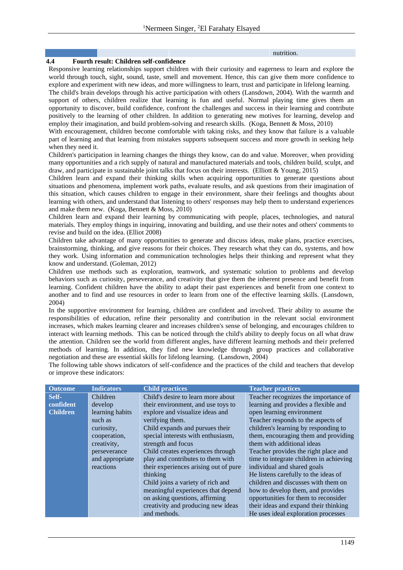## **4.4 Fourth result: Children self-confidence**

nutrition.

Responsive learning relationships support children with their curiosity and eagerness to learn and explore the world through touch, sight, sound, taste, smell and movement. Hence, this can give them more confidence to explore and experiment with new ideas, and more willingness to learn, trust and participate in lifelong learning.

The child's brain develops through his active participation with others (Lansdown, 2004). With the warmth and support of others, children realize that learning is fun and useful. Normal playing time gives them an opportunity to discover, build confidence, confront the challenges and success in their learning and contribute positively to the learning of other children. In addition to generating new motives for learning, develop and employ their imagination, and build problem-solving and research skills. (Koga, Bennett & Moss, 2010)

With encouragement, children become comfortable with taking risks, and they know that failure is a valuable part of learning and that learning from mistakes supports subsequent success and more growth in seeking help when they need it.

Children's participation in learning changes the things they know, can do and value. Moreover, when providing many opportunities and a rich supply of natural and manufactured materials and tools, children build, sculpt, and draw, and participate in sustainable joint talks that focus on their interests. (Elliott & Young, 2015)

Children learn and expand their thinking skills when acquiring opportunities to generate questions about situations and phenomena, implement work paths, evaluate results, and ask questions from their imagination of this situation, which causes children to engage in their environment, share their feelings and thoughts about learning with others, and understand that listening to others' responses may help them to understand experiences and make them new. (Koga, Bennett & Moss, 2010)

Children learn and expand their learning by communicating with people, places, technologies, and natural materials. They employ things in inquiring, innovating and building, and use their notes and others' comments to revise and build on the idea. (Elliot 2008)

Children take advantage of many opportunities to generate and discuss ideas, make plans, practice exercises, brainstorming, thinking, and give reasons for their choices. They research what they can do, systems, and how they work. Using information and communication technologies helps their thinking and represent what they know and understand. (Goleman, 2012)

Children use methods such as exploration, teamwork, and systematic solution to problems and develop behaviors such as curiosity, perseverance, and creativity that give them the inherent presence and benefit from learning. Confident children have the ability to adapt their past experiences and benefit from one context to another and to find and use resources in order to learn from one of the effective learning skills. (Lansdown, 2004)

In the supportive environment for learning, children are confident and involved. Their ability to assume the responsibilities of education, refine their personality and contribution in the relevant social environment increases, which makes learning clearer and increases children's sense of belonging, and encourages children to interact with learning methods. This can be noticed through the child's ability to deeply focus on all what draw the attention. Children see the world from different angles, have different learning methods and their preferred methods of learning. In addition, they find new knowledge through group practices and collaborative negotiation and these are essential skills for lifelong learning. (Lansdown, 2004)

The following table shows indicators of self-confidence and the practices of the child and teachers that develop or improve these indicators:

| <b>Outcome</b>  | <b>Indicators</b> | <b>Child practices</b>                | <b>Teacher practices</b>                |
|-----------------|-------------------|---------------------------------------|-----------------------------------------|
| Self-           | Children          | Child's desire to learn more about    | Teacher recognizes the importance of    |
| confident       | develop           | their environment, and use toys to    | learning and provides a flexible and    |
| <b>Children</b> | learning habits   | explore and visualize ideas and       | open learning environment               |
|                 | such as           | verifying them.                       | Teacher responds to the aspects of      |
|                 | curiosity,        | Child expands and pursues their       | children's learning by responding to    |
|                 | cooperation,      | special interests with enthusiasm,    | them, encouraging them and providing    |
|                 | creativity,       | strength and focus                    | them with additional ideas              |
|                 | perseverance      | Child creates experiences through     | Teacher provides the right place and    |
|                 | and appropriate   | play and contributes to them with     | time to integrate children in achieving |
|                 | reactions         | their experiences arising out of pure | individual and shared goals             |
|                 |                   | thinking                              | He listens carefully to the ideas of    |
|                 |                   | Child joins a variety of rich and     | children and discusses with them on     |
|                 |                   | meaningful experiences that depend    | how to develop them, and provides       |
|                 |                   | on asking questions, affirming        | opportunities for them to reconsider    |
|                 |                   | creativity and producing new ideas    | their ideas and expand their thinking   |
|                 |                   | and methods.                          | He uses ideal exploration processes     |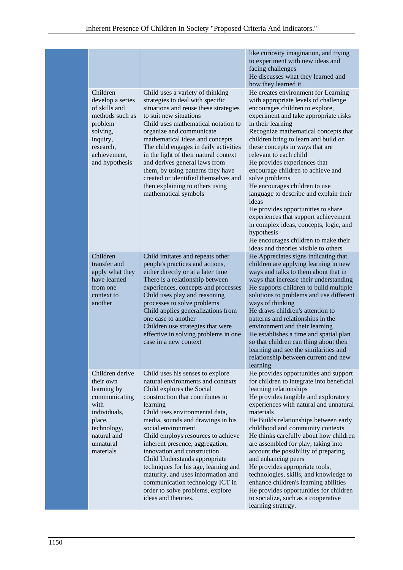|                                                                                                                                                        |                                                                                                                                                                                                                                                                                                                                                                                                                                                                                                                                                                      | like curiosity imagination, and trying<br>to experiment with new ideas and<br>facing challenges<br>He discusses what they learned and<br>how they learned it                                                                                                                                                                                                                                                                                                                                                                                                                                                                                                                                                               |
|--------------------------------------------------------------------------------------------------------------------------------------------------------|----------------------------------------------------------------------------------------------------------------------------------------------------------------------------------------------------------------------------------------------------------------------------------------------------------------------------------------------------------------------------------------------------------------------------------------------------------------------------------------------------------------------------------------------------------------------|----------------------------------------------------------------------------------------------------------------------------------------------------------------------------------------------------------------------------------------------------------------------------------------------------------------------------------------------------------------------------------------------------------------------------------------------------------------------------------------------------------------------------------------------------------------------------------------------------------------------------------------------------------------------------------------------------------------------------|
| Children<br>develop a series<br>of skills and<br>methods such as<br>problem<br>solving,<br>inquiry,<br>research,<br>achievement,<br>and hypothesis     | Child uses a variety of thinking<br>strategies to deal with specific<br>situations and reuse these strategies<br>to suit new situations<br>Child uses mathematical notation to<br>organize and communicate<br>mathematical ideas and concepts<br>The child engages in daily activities<br>in the light of their natural context<br>and derives general laws from<br>them, by using patterns they have<br>created or identified themselves and<br>then explaining to others using<br>mathematical symbols                                                             | He creates environment for Learning<br>with appropriate levels of challenge<br>encourages children to explore,<br>experiment and take appropriate risks<br>in their learning<br>Recognize mathematical concepts that<br>children bring to learn and build on<br>these concepts in ways that are<br>relevant to each child<br>He provides experiences that<br>encourage children to achieve and<br>solve problems<br>He encourages children to use<br>language to describe and explain their<br>ideas<br>He provides opportunities to share<br>experiences that support achievement<br>in complex ideas, concepts, logic, and<br>hypothesis<br>He encourages children to make their<br>ideas and theories visible to others |
| Children<br>transfer and<br>apply what they<br>have learned<br>from one<br>context to<br>another                                                       | Child imitates and repeats other<br>people's practices and actions,<br>either directly or at a later time<br>There is a relationship between<br>experiences, concepts and processes<br>Child uses play and reasoning<br>processes to solve problems<br>Child applies generalizations from<br>one case to another<br>Children use strategies that were<br>effective in solving problems in one<br>case in a new context                                                                                                                                               | He Appreciates signs indicating that<br>children are applying learning in new<br>ways and talks to them about that in<br>ways that increase their understanding<br>He supports children to build multiple<br>solutions to problems and use different<br>ways of thinking<br>He draws children's attention to<br>patterns and relationships in the<br>environment and their learning<br>He establishes a time and spatial plan<br>so that children can thing about their<br>learning and see the similarities and<br>relationship between current and new<br>learning                                                                                                                                                       |
| Children derive<br>their own<br>learning by<br>communicating<br>with<br>individuals,<br>place,<br>technology,<br>natural and<br>unnatural<br>materials | Child uses his senses to explore<br>natural environments and contexts<br>Child explores the Social<br>construction that contributes to<br>learning<br>Child uses environmental data,<br>media, sounds and drawings in his<br>social environment<br>Child employs resources to achieve<br>inherent presence, aggregation,<br>innovation and construction<br>Child Understands appropriate<br>techniques for his age, learning and<br>maturity, and uses information and<br>communication technology ICT in<br>order to solve problems, explore<br>ideas and theories. | He provides opportunities and support<br>for children to integrate into beneficial<br>learning relationships<br>He provides tangible and exploratory<br>experiences with natural and unnatural<br>materials<br>He Builds relationships between early<br>childhood and community contexts<br>He thinks carefully about how children<br>are assembled for play, taking into<br>account the possibility of preparing<br>and enhancing peers<br>He provides appropriate tools,<br>technologies, skills, and knowledge to<br>enhance children's learning abilities<br>He provides opportunities for children<br>to socialize, such as a cooperative<br>learning strategy.                                                       |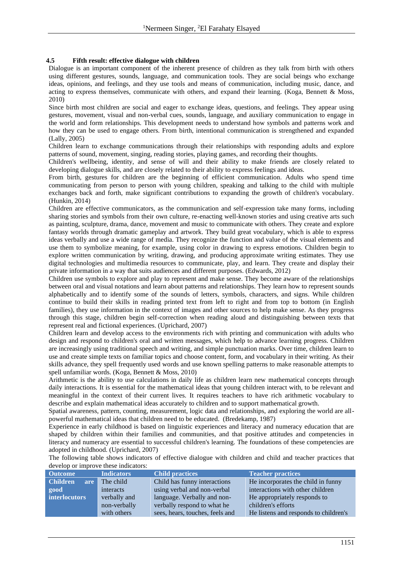## **4.5 Fifth result: effective dialogue with children**

Dialogue is an important component of the inherent presence of children as they talk from birth with others using different gestures, sounds, language, and communication tools. They are social beings who exchange ideas, opinions, and feelings, and they use tools and means of communication, including music, dance, and acting to express themselves, communicate with others, and expand their learning. (Koga, Bennett & Moss, 2010)

Since birth most children are social and eager to exchange ideas, questions, and feelings. They appear using gestures, movement, visual and non-verbal cues, sounds, language, and auxiliary communication to engage in the world and form relationships. This development needs to understand how symbols and patterns work and how they can be used to engage others. From birth, intentional communication is strengthened and expanded (Lally, 2005)

Children learn to exchange communications through their relationships with responding adults and explore patterns of sound, movement, singing, reading stories, playing games, and recording their thoughts.

Children's wellbeing, identity, and sense of will and their ability to make friends are closely related to developing dialogue skills, and are closely related to their ability to express feelings and ideas.

From birth, gestures for children are the beginning of efficient communication. Adults who spend time communicating from person to person with young children, speaking and talking to the child with multiple exchanges back and forth, make significant contributions to expanding the growth of children's vocabulary. (Hunkin, 2014)

Children are effective communicators, as the communication and self-expression take many forms, including sharing stories and symbols from their own culture, re-enacting well-known stories and using creative arts such as painting, sculpture, drama, dance, movement and music to communicate with others. They create and explore fantasy worlds through dramatic gameplay and artwork. They build great vocabulary, which is able to express ideas verbally and use a wide range of media. They recognize the function and value of the visual elements and use them to symbolize meaning, for example, using color in drawing to express emotions. Children begin to explore written communication by writing, drawing, and producing approximate writing estimates. They use digital technologies and multimedia resources to communicate, play, and learn. They create and display their private information in a way that suits audiences and different purposes. (Edwards, 2012)

Children use symbols to explore and play to represent and make sense. They become aware of the relationships between oral and visual notations and learn about patterns and relationships. They learn how to represent sounds alphabetically and to identify some of the sounds of letters, symbols, characters, and signs. While children continue to build their skills in reading printed text from left to right and from top to bottom (in English families), they use information in the context of images and other sources to help make sense. As they progress through this stage, children begin self-correction when reading aloud and distinguishing between texts that represent real and fictional experiences. (Uprichard, 2007)

Children learn and develop access to the environments rich with printing and communication with adults who design and respond to children's oral and written messages, which help to advance learning progress. Children are increasingly using traditional speech and writing, and simple punctuation marks. Over time, children learn to use and create simple texts on familiar topics and choose content, form, and vocabulary in their writing. As their skills advance, they spell frequently used words and use known spelling patterns to make reasonable attempts to spell unfamiliar words. (Koga, Bennett & Moss, 2010)

Arithmetic is the ability to use calculations in daily life as children learn new mathematical concepts through daily interactions. It is essential for the mathematical ideas that young children interact with, to be relevant and meaningful in the context of their current lives. It requires teachers to have rich arithmetic vocabulary to describe and explain mathematical ideas accurately to children and to support mathematical growth.

Spatial awareness, pattern, counting, measurement, logic data and relationships, and exploring the world are allpowerful mathematical ideas that children need to be educated. (Bredekamp, 1987)

Experience in early childhood is based on linguistic experiences and literacy and numeracy education that are shaped by children within their families and communities, and that positive attitudes and competencies in literacy and numeracy are essential to successful children's learning. The foundations of these competencies are adopted in childhood. (Uprichard, 2007)

The following table shows indicators of effective dialogue with children and child and teacher practices that develop or improve these indicators:

| <b>Outcome</b>         | <b>Indicators</b> | <b>Child practices</b>          | <b>Teacher practices</b>              |
|------------------------|-------------------|---------------------------------|---------------------------------------|
| <b>Children</b><br>are | The child         | Child has funny interactions    | He incorporates the child in funny    |
| good                   | interacts         | using verbal and non-verbal     | interactions with other children      |
| <i>interlocutors</i>   | verbally and      | language. Verbally and non-     | He appropriately responds to          |
|                        | non-verbally      | verbally respond to what he     | children's efforts                    |
|                        | with others       | sees, hears, touches, feels and | He listens and responds to children's |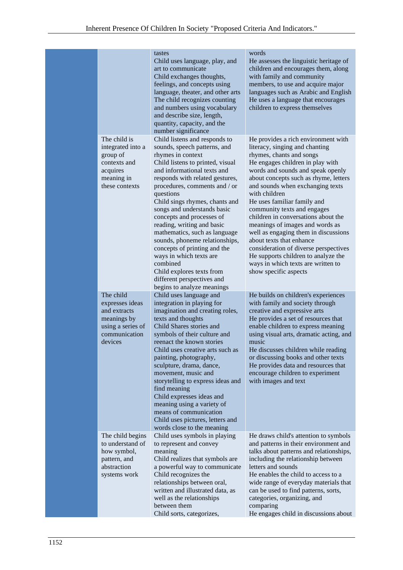|                                                                                                              | tastes<br>Child uses language, play, and<br>art to communicate<br>Child exchanges thoughts,<br>feelings, and concepts using<br>language, theater, and other arts<br>The child recognizes counting<br>and numbers using vocabulary<br>and describe size, length,<br>quantity, capacity, and the<br>number significance                                                                                                                                                                                                                                                   | words<br>He assesses the linguistic heritage of<br>children and encourages them, along<br>with family and community<br>members, to use and acquire major<br>languages such as Arabic and English<br>He uses a language that encourages<br>children to express themselves                                                                                                                                                                                                                                                                                                                                                            |
|--------------------------------------------------------------------------------------------------------------|-------------------------------------------------------------------------------------------------------------------------------------------------------------------------------------------------------------------------------------------------------------------------------------------------------------------------------------------------------------------------------------------------------------------------------------------------------------------------------------------------------------------------------------------------------------------------|-------------------------------------------------------------------------------------------------------------------------------------------------------------------------------------------------------------------------------------------------------------------------------------------------------------------------------------------------------------------------------------------------------------------------------------------------------------------------------------------------------------------------------------------------------------------------------------------------------------------------------------|
| The child is<br>integrated into a<br>group of<br>contexts and<br>acquires<br>meaning in<br>these contexts    | Child listens and responds to<br>sounds, speech patterns, and<br>rhymes in context<br>Child listens to printed, visual<br>and informational texts and<br>responds with related gestures,<br>procedures, comments and / or<br>questions<br>Child sings rhymes, chants and<br>songs and understands basic<br>concepts and processes of<br>reading, writing and basic<br>mathematics, such as language<br>sounds, phoneme relationships,<br>concepts of printing and the<br>ways in which texts are<br>combined<br>Child explores texts from<br>different perspectives and | He provides a rich environment with<br>literacy, singing and chanting<br>rhymes, chants and songs<br>He engages children in play with<br>words and sounds and speak openly<br>about concepts such as rhyme, letters<br>and sounds when exchanging texts<br>with children<br>He uses familiar family and<br>community texts and engages<br>children in conversations about the<br>meanings of images and words as<br>well as engaging them in discussions<br>about texts that enhance<br>consideration of diverse perspectives<br>He supports children to analyze the<br>ways in which texts are written to<br>show specific aspects |
| The child<br>expresses ideas<br>and extracts<br>meanings by<br>using a series of<br>communication<br>devices | begins to analyze meanings<br>Child uses language and<br>integration in playing for<br>imagination and creating roles,<br>texts and thoughts<br>Child Shares stories and<br>symbols of their culture and<br>reenact the known stories<br>Child uses creative arts such as<br>painting, photography,<br>sculpture, drama, dance,<br>movement, music and<br>storytelling to express ideas and<br>find meaning<br>Child expresses ideas and<br>meaning using a variety of<br>means of communication<br>Child uses pictures, letters and<br>words close to the meaning      | He builds on children's experiences<br>with family and society through<br>creative and expressive arts<br>He provides a set of resources that<br>enable children to express meaning<br>using visual arts, dramatic acting, and<br>music<br>He discusses children while reading<br>or discussing books and other texts<br>He provides data and resources that<br>encourage children to experiment<br>with images and text                                                                                                                                                                                                            |
| The child begins<br>to understand of<br>how symbol,<br>pattern, and<br>abstraction<br>systems work           | Child uses symbols in playing<br>to represent and convey<br>meaning<br>Child realizes that symbols are<br>a powerful way to communicate<br>Child recognizes the<br>relationships between oral,<br>written and illustrated data, as<br>well as the relationships<br>between them<br>Child sorts, categorizes,                                                                                                                                                                                                                                                            | He draws child's attention to symbols<br>and patterns in their environment and<br>talks about patterns and relationships,<br>including the relationship between<br>letters and sounds<br>He enables the child to access to a<br>wide range of everyday materials that<br>can be used to find patterns, sorts,<br>categories, organizing, and<br>comparing<br>He engages child in discussions about                                                                                                                                                                                                                                  |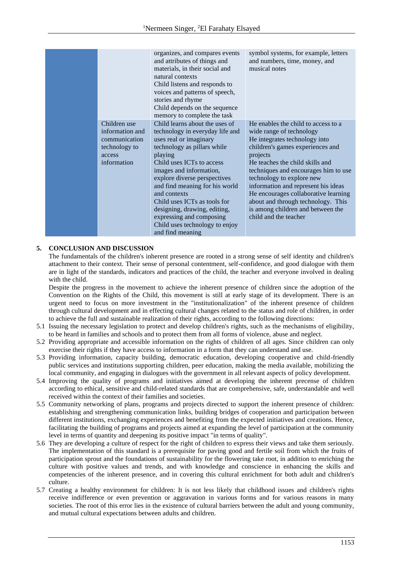|                                                                                            | organizes, and compares events<br>and attributes of things and<br>materials, in their social and<br>natural contexts<br>Child listens and responds to<br>voices and patterns of speech,<br>stories and rhyme<br>Child depends on the sequence<br>memory to complete the task                                                                                                                                                      | symbol systems, for example, letters<br>and numbers, time, money, and<br>musical notes                                                                                                                                                                                                                                                                                                                                                      |
|--------------------------------------------------------------------------------------------|-----------------------------------------------------------------------------------------------------------------------------------------------------------------------------------------------------------------------------------------------------------------------------------------------------------------------------------------------------------------------------------------------------------------------------------|---------------------------------------------------------------------------------------------------------------------------------------------------------------------------------------------------------------------------------------------------------------------------------------------------------------------------------------------------------------------------------------------------------------------------------------------|
| Children use<br>information and<br>communication<br>technology to<br>access<br>information | Child learns about the uses of<br>technology in everyday life and<br>uses real or imaginary<br>technology as pillars while<br>playing<br>Child uses ICTs to access<br>images and information,<br>explore diverse perspectives<br>and find meaning for his world<br>and contexts<br>Child uses ICTs as tools for<br>designing, drawing, editing,<br>expressing and composing<br>Child uses technology to enjoy<br>and find meaning | He enables the child to access to a<br>wide range of technology<br>He integrates technology into<br>children's games experiences and<br>projects<br>He teaches the child skills and<br>techniques and encourages him to use<br>technology to explore new<br>information and represent his ideas<br>He encourages collaborative learning<br>about and through technology. This<br>is among children and between the<br>child and the teacher |

## **5. CONCLUSION AND DISCUSSION**

The fundamentals of the children's inherent presence are rooted in a strong sense of self identity and children's attachment to their context. Their sense of personal contentment, self-confidence, and good dialogue with them are in light of the standards, indicators and practices of the child, the teacher and everyone involved in dealing with the child.

Despite the progress in the movement to achieve the inherent presence of children since the adoption of the Convention on the Rights of the Child, this movement is still at early stage of its development. There is an urgent need to focus on more investment in the "institutionalization" of the inherent presence of children through cultural development and in effecting cultural changes related to the status and role of children, in order to achieve the full and sustainable realization of their rights, according to the following directions:

- 5.1 Issuing the necessary legislation to protect and develop children's rights, such as the mechanisms of eligibility, to be heard in families and schools and to protect them from all forms of violence, abuse and neglect.
- 5.2 Providing appropriate and accessible information on the rights of children of all ages. Since children can only exercise their rights if they have access to information in a form that they can understand and use.
- 5.3 Providing information, capacity building, democratic education, developing cooperative and child-friendly public services and institutions supporting children, peer education, making the media available, mobilizing the local community, and engaging in dialogues with the government in all relevant aspects of policy development.
- 5.4 Improving the quality of programs and initiatives aimed at developing the inherent precense of children according to ethical, sensitive and child-related standards that are comprehensive, safe, understandable and well received within the context of their families and societies.
- 5.5 Community networking of plans, programs and projects directed to support the inherent presence of children: establishing and strengthening communication links, building bridges of cooperation and participation between different institutions, exchanging experiences and benefiting from the expected initiatives and creations. Hence, facilitating the building of programs and projects aimed at expanding the level of participation at the community level in terms of quantity and deepening its positive impact "in terms of quality".
- 5.6 They are developing a culture of respect for the right of children to express their views and take them seriously. The implementation of this standard is a prerequisite for paving good and fertile soil from which the fruits of participation sprout and the foundations of sustainability for the flowering take root, in addition to enriching the culture with positive values and trends, and with knowledge and conscience in enhancing the skills and competencies of the inherent presence, and in covering this cultural enrichment for both adult and children's culture.
- 5.7 Creating a healthy environment for children: It is not less likely that childhood issues and children's rights receive indifference or even prevention or aggravation in various forms and for various reasons in many societies. The root of this error lies in the existence of cultural barriers between the adult and young community, and mutual cultural expectations between adults and children.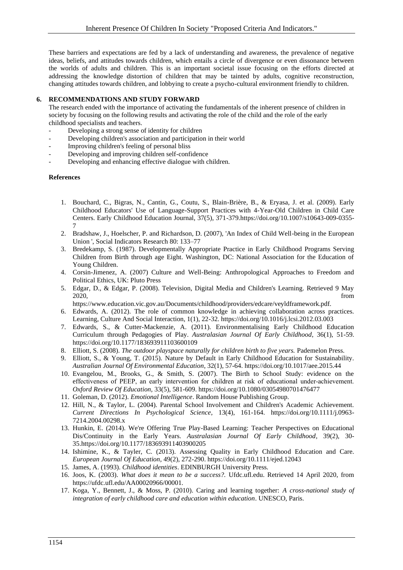These barriers and expectations are fed by a lack of understanding and awareness, the prevalence of negative ideas, beliefs, and attitudes towards children, which entails a circle of divergence or even dissonance between the worlds of adults and children. This is an important societal issue focusing on the efforts directed at addressing the knowledge distortion of children that may be tainted by adults, cognitive reconstruction, changing attitudes towards children, and lobbying to create a psycho-cultural environment friendly to children.

## **6. RECOMMENDATIONS AND STUDY FORWARD**

The research ended with the importance of activating the fundamentals of the inherent presence of children in society by focusing on the following results and activating the role of the child and the role of the early childhood specialists and teachers.

- Developing a strong sense of identity for children
- Developing children's association and participation in their world
- Improving children's feeling of personal bliss
- Developing and improving children self-confidence
- Developing and enhancing effective dialogue with children.

#### **References**

- 1. Bouchard, C., Bigras, N., Cantin, G., Coutu, S., Blain-Brière, B., & Eryasa, J. et al. (2009). Early Childhood Educators' Use of Language-Support Practices with 4-Year-Old Children in Child Care Centers. Early Childhood Education Journal, 37(5), 371-379.https://doi.org/10.1007/s10643-009-0355- 7
- 2. Bradshaw, J., Hoelscher, P. and Richardson, D. (2007), 'An Index of Child Well-being in the European Union ', Social Indicators Research 80: 133–77
- 3. Bredekamp, S. (1987). Developmentally Appropriate Practice in Early Childhood Programs Serving Children from Birth through age Eight. Washington, DC: National Association for the Education of Young Children.
- 4. Corsin-Jimenez, A. (2007) Culture and Well-Being: Anthropological Approaches to Freedom and Political Ethics, UK: Pluto Press
- 5. Edgar, D., & Edgar, P. (2008). Television, Digital Media and Children's Learning. Retrieved 9 May 2020, from

https://www.education.vic.gov.au/Documents/childhood/providers/edcare/veyldframework.pdf.

- 6. Edwards, A. (2012). The role of common knowledge in achieving collaboration across practices. Learning, Culture And Social Interaction, 1(1), 22-32. https://doi.org/10.1016/j.lcsi.2012.03.003
- 7. Edwards, S., & Cutter-Mackenzie, A. (2011). Environmentalising Early Childhood Education Curriculum through Pedagogies of Play. *Australasian Journal Of Early Childhood*, 36(1), 51-59. https://doi.org/10.1177/183693911103600109
- 8. Elliott, S. (2008). *The outdoor playspace naturally for children birth to five years.* Pademelon Press.
- 9. Elliott, S., & Young, T. (2015). Nature by Default in Early Childhood Education for Sustainability. *Australian Journal Of Environmental Education*, 32(1), 57-64. https://doi.org/10.1017/aee.2015.44
- 10. Evangelou, M., Brooks, G., & Smith, S. (2007). The Birth to School Study: evidence on the effectiveness of PEEP, an early intervention for children at risk of educational under‐achievement. *Oxford Review Of Education,* 33(5), 581-609. https://doi.org/10.1080/03054980701476477
- 11. Goleman, D. (2012). *Emotional Intelligence*. Random House Publishing Group.
- 12. Hill, N., & Taylor, L. (2004). Parental School Involvement and Children's Academic Achievement. *Current Directions In Psychological Science*, 13(4), 161-164. https://doi.org/10.1111/j.0963- 7214.2004.00298.x
- 13. Hunkin, E. (2014). We're Offering True Play-Based Learning: Teacher Perspectives on Educational Dis/Continuity in the Early Years. *Australasian Journal Of Early Childhood*, 39(2), 30- 35.https://doi.org/10.1177/183693911403900205
- 14. Ishimine, K., & Tayler, C. (2013). Assessing Quality in Early Childhood Education and Care. *European Journal Of Education*, 49(2), 272-290. https://doi.org/10.1111/ejed.12043
- 15. James, A. (1993). *Childhood identities*. EDINBURGH University Press.
- 16. Joos, K. (2003). *What does it mean to be a success?.* Ufdc.ufl.edu. Retrieved 14 April 2020, from https://ufdc.ufl.edu/AA00020966/00001.
- 17. Koga, Y., Bennett, J., & Moss, P. (2010). Caring and learning together: *A cross-national study of integration of early childhood care and education within education*. UNESCO, Paris.